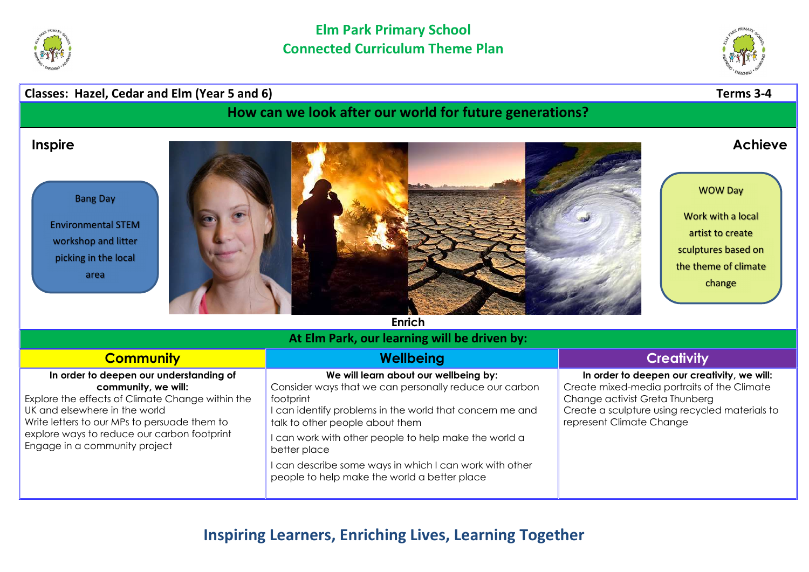



## Classes: Hazel, Cedar and Elm (Year 5 and 6) Classes: Hazel, Cedar and Elm (Year 5 and 6)

How can we look after our world for future generations?

Bang Day

Environmental STEM workshop and litter picking in the local area



WOW Day

Work with a local artist to create sculptures based on the theme of climate change

Enrich

## At Elm Park, our learning will be driven by:

| <b>Community</b>                                                                                                                                                                                                                                                                    | Wellbeing                                                                                                                                                                                                                                                                                                                                                                                       | <b>Creativity</b>                                                                                                                                                                                          |
|-------------------------------------------------------------------------------------------------------------------------------------------------------------------------------------------------------------------------------------------------------------------------------------|-------------------------------------------------------------------------------------------------------------------------------------------------------------------------------------------------------------------------------------------------------------------------------------------------------------------------------------------------------------------------------------------------|------------------------------------------------------------------------------------------------------------------------------------------------------------------------------------------------------------|
| In order to deepen our understanding of<br>community, we will:<br>Explore the effects of Climate Change within the<br>UK and elsewhere in the world<br>Write letters to our MPs to persuade them to<br>explore ways to reduce our carbon footprint<br>Engage in a community project | We will learn about our wellbeing by:<br>Consider ways that we can personally reduce our carbon<br>footprint<br>I can identify problems in the world that concern me and<br>talk to other people about them<br>I can work with other people to help make the world a<br>better place<br>I can describe some ways in which I can work with other<br>people to help make the world a better place | In order to deepen our creativity, we will:<br>Create mixed-media portraits of the Climate<br>Change activist Greta Thunberg<br>Create a sculpture using recycled materials to<br>represent Climate Change |

## Inspiring Learners, Enriching Lives, Learning Together